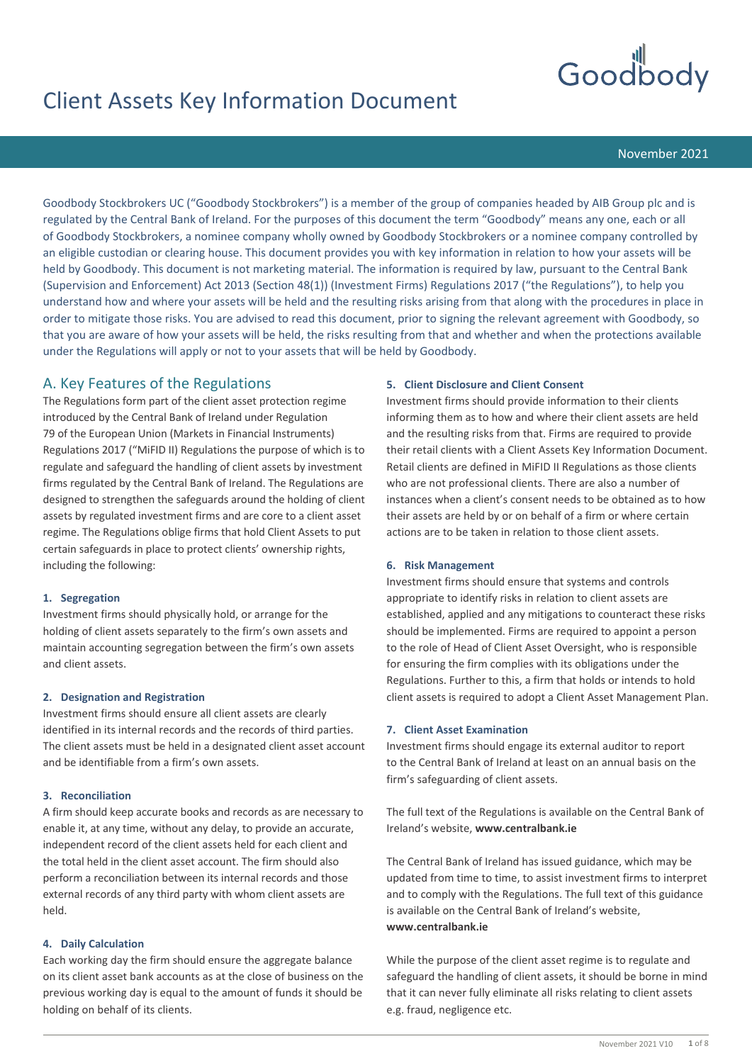

# Client Assets Key Information Document

November 2021

Goodbody Stockbrokers UC ("Goodbody Stockbrokers") is a member of the group of companies headed by AIB Group plc and is regulated by the Central Bank of Ireland. For the purposes of this document the term "Goodbody" means any one, each or all of Goodbody Stockbrokers, a nominee company wholly owned by Goodbody Stockbrokers or a nominee company controlled by an eligible custodian or clearing house. This document provides you with key information in relation to how your assets will be held by Goodbody. This document is not marketing material. The information is required by law, pursuant to the Central Bank (Supervision and Enforcement) Act 2013 (Section 48(1)) (Investment Firms) Regulations 2017 ("the Regulations"), to help you understand how and where your assets will be held and the resulting risks arising from that along with the procedures in place in order to mitigate those risks. You are advised to read this document, prior to signing the relevant agreement with Goodbody, so that you are aware of how your assets will be held, the risks resulting from that and whether and when the protections available under the Regulations will apply or not to your assets that will be held by Goodbody.

# A. Key Features of the Regulations

The Regulations form part of the client asset protection regime introduced by the Central Bank of Ireland under Regulation 79 of the European Union (Markets in Financial Instruments) Regulations 2017 ("MiFID II) Regulations the purpose of which is to regulate and safeguard the handling of client assets by investment firms regulated by the Central Bank of Ireland. The Regulations are designed to strengthen the safeguards around the holding of client assets by regulated investment firms and are core to a client asset regime. The Regulations oblige firms that hold Client Assets to put certain safeguards in place to protect clients' ownership rights, including the following:

### **1. Segregation**

Investment firms should physically hold, or arrange for the holding of client assets separately to the firm's own assets and maintain accounting segregation between the firm's own assets and client assets.

### **2. Designation and Registration**

Investment firms should ensure all client assets are clearly identified in its internal records and the records of third parties. The client assets must be held in a designated client asset account and be identifiable from a firm's own assets.

### **3. Reconciliation**

A firm should keep accurate books and records as are necessary to enable it, at any time, without any delay, to provide an accurate, independent record of the client assets held for each client and the total held in the client asset account. The firm should also perform a reconciliation between its internal records and those external records of any third party with whom client assets are held.

### **4. Daily Calculation**

Each working day the firm should ensure the aggregate balance on its client asset bank accounts as at the close of business on the previous working day is equal to the amount of funds it should be holding on behalf of its clients.

### **5. Client Disclosure and Client Consent**

Investment firms should provide information to their clients informing them as to how and where their client assets are held and the resulting risks from that. Firms are required to provide their retail clients with a Client Assets Key Information Document. Retail clients are defined in MiFID II Regulations as those clients who are not professional clients. There are also a number of instances when a client's consent needs to be obtained as to how their assets are held by or on behalf of a firm or where certain actions are to be taken in relation to those client assets.

### **6. Risk Management**

Investment firms should ensure that systems and controls appropriate to identify risks in relation to client assets are established, applied and any mitigations to counteract these risks should be implemented. Firms are required to appoint a person to the role of Head of Client Asset Oversight, who is responsible for ensuring the firm complies with its obligations under the Regulations. Further to this, a firm that holds or intends to hold client assets is required to adopt a Client Asset Management Plan.

### **7. Client Asset Examination**

Investment firms should engage its external auditor to report to the Central Bank of Ireland at least on an annual basis on the firm's safeguarding of client assets.

The full text of the Regulations is available on the Central Bank of Ireland's website, **www.centralbank.ie** 

The Central Bank of Ireland has issued guidance, which may be updated from time to time, to assist investment firms to interpret and to comply with the Regulations. The full text of this guidance is available on the Central Bank of Ireland's website, **www.centralbank.ie** 

While the purpose of the client asset regime is to regulate and safeguard the handling of client assets, it should be borne in mind that it can never fully eliminate all risks relating to client assets e.g. fraud, negligence etc.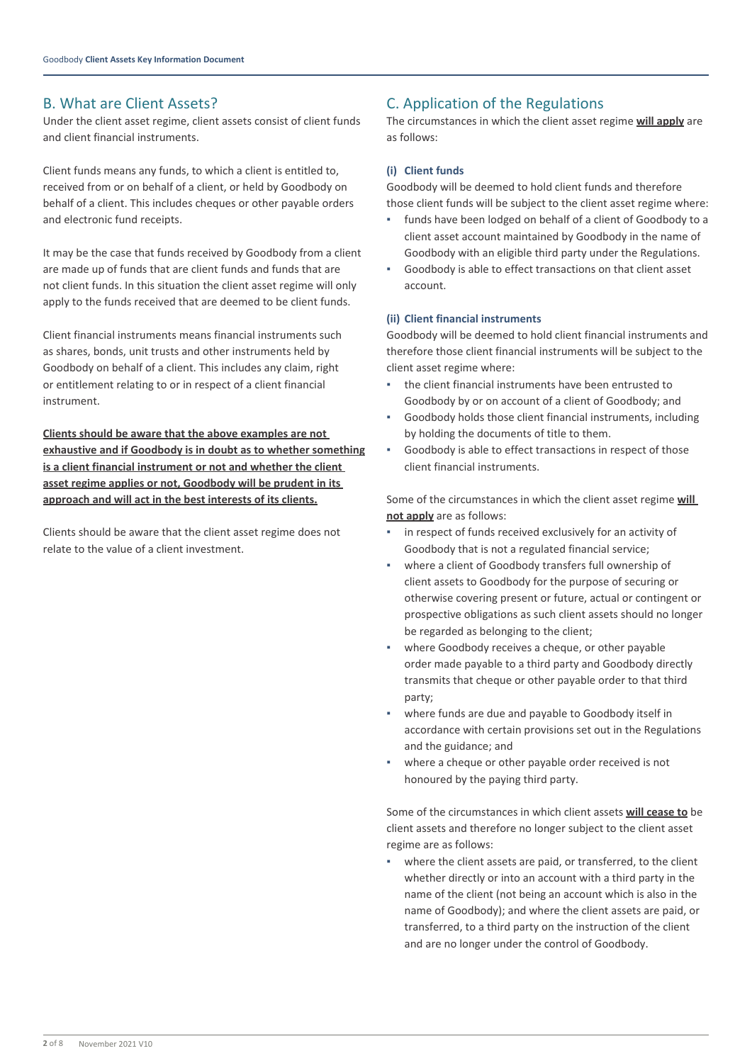# B. What are Client Assets?

Under the client asset regime, client assets consist of client funds and client financial instruments.

Client funds means any funds, to which a client is entitled to, received from or on behalf of a client, or held by Goodbody on behalf of a client. This includes cheques or other payable orders and electronic fund receipts.

It may be the case that funds received by Goodbody from a client are made up of funds that are client funds and funds that are not client funds. In this situation the client asset regime will only apply to the funds received that are deemed to be client funds.

Client financial instruments means financial instruments such as shares, bonds, unit trusts and other instruments held by Goodbody on behalf of a client. This includes any claim, right or entitlement relating to or in respect of a client financial instrument.

**Clients should be aware that the above examples are not exhaustive and if Goodbody is in doubt as to whether something is a client financial instrument or not and whether the client asset regime applies or not, Goodbody will be prudent in its approach and will act in the best interests of its clients.**

Clients should be aware that the client asset regime does not relate to the value of a client investment.

# C. Application of the Regulations

The circumstances in which the client asset regime **will apply** are as follows:

#### **(i) Client funds**

Goodbody will be deemed to hold client funds and therefore those client funds will be subject to the client asset regime where:

- funds have been lodged on behalf of a client of Goodbody to a client asset account maintained by Goodbody in the name of Goodbody with an eligible third party under the Regulations.
- Goodbody is able to effect transactions on that client asset account.

### **(ii) Client financial instruments**

Goodbody will be deemed to hold client financial instruments and therefore those client financial instruments will be subject to the client asset regime where:

- the client financial instruments have been entrusted to Goodbody by or on account of a client of Goodbody; and
- Goodbody holds those client financial instruments, including by holding the documents of title to them.
- Goodbody is able to effect transactions in respect of those client financial instruments.

Some of the circumstances in which the client asset regime **will not apply** are as follows:

- in respect of funds received exclusively for an activity of Goodbody that is not a regulated financial service;
- where a client of Goodbody transfers full ownership of client assets to Goodbody for the purpose of securing or otherwise covering present or future, actual or contingent or prospective obligations as such client assets should no longer be regarded as belonging to the client;
- where Goodbody receives a cheque, or other payable order made payable to a third party and Goodbody directly transmits that cheque or other payable order to that third party;
- where funds are due and payable to Goodbody itself in accordance with certain provisions set out in the Regulations and the guidance; and
- where a cheque or other payable order received is not honoured by the paying third party.

Some of the circumstances in which client assets **will cease to** be client assets and therefore no longer subject to the client asset regime are as follows:

where the client assets are paid, or transferred, to the client whether directly or into an account with a third party in the name of the client (not being an account which is also in the name of Goodbody); and where the client assets are paid, or transferred, to a third party on the instruction of the client and are no longer under the control of Goodbody.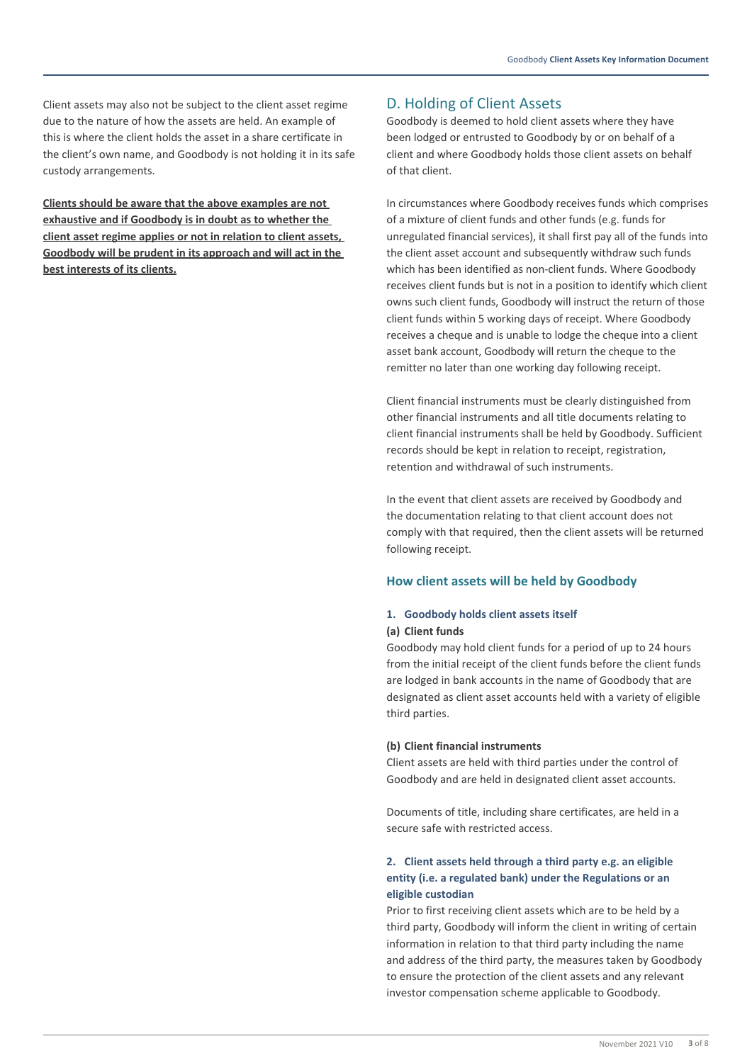Client assets may also not be subject to the client asset regime due to the nature of how the assets are held. An example of this is where the client holds the asset in a share certificate in the client's own name, and Goodbody is not holding it in its safe custody arrangements.

**Clients should be aware that the above examples are not exhaustive and if Goodbody is in doubt as to whether the client asset regime applies or not in relation to client assets, Goodbody will be prudent in its approach and will act in the best interests of its clients.**

# D. Holding of Client Assets

Goodbody is deemed to hold client assets where they have been lodged or entrusted to Goodbody by or on behalf of a client and where Goodbody holds those client assets on behalf of that client.

In circumstances where Goodbody receives funds which comprises of a mixture of client funds and other funds (e.g. funds for unregulated financial services), it shall first pay all of the funds into the client asset account and subsequently withdraw such funds which has been identified as non-client funds. Where Goodbody receives client funds but is not in a position to identify which client owns such client funds, Goodbody will instruct the return of those client funds within 5 working days of receipt. Where Goodbody receives a cheque and is unable to lodge the cheque into a client asset bank account, Goodbody will return the cheque to the remitter no later than one working day following receipt.

Client financial instruments must be clearly distinguished from other financial instruments and all title documents relating to client financial instruments shall be held by Goodbody. Sufficient records should be kept in relation to receipt, registration, retention and withdrawal of such instruments.

In the event that client assets are received by Goodbody and the documentation relating to that client account does not comply with that required, then the client assets will be returned following receipt.

### **How client assets will be held by Goodbody**

### **1. Goodbody holds client assets itself**

#### **(a) Client funds**

Goodbody may hold client funds for a period of up to 24 hours from the initial receipt of the client funds before the client funds are lodged in bank accounts in the name of Goodbody that are designated as client asset accounts held with a variety of eligible third parties.

#### **(b) Client financial instruments**

Client assets are held with third parties under the control of Goodbody and are held in designated client asset accounts.

Documents of title, including share certificates, are held in a secure safe with restricted access.

# **2. Client assets held through a third party e.g. an eligible entity (i.e. a regulated bank) under the Regulations or an eligible custodian**

Prior to first receiving client assets which are to be held by a third party, Goodbody will inform the client in writing of certain information in relation to that third party including the name and address of the third party, the measures taken by Goodbody to ensure the protection of the client assets and any relevant investor compensation scheme applicable to Goodbody.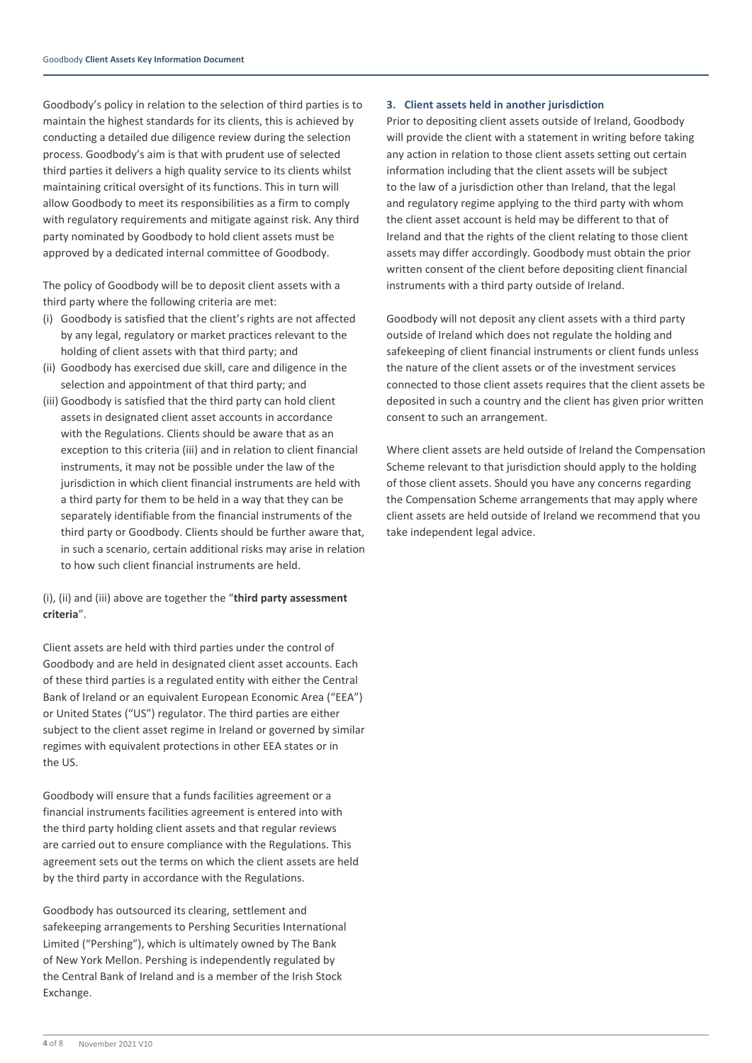Goodbody's policy in relation to the selection of third parties is to maintain the highest standards for its clients, this is achieved by conducting a detailed due diligence review during the selection process. Goodbody's aim is that with prudent use of selected third parties it delivers a high quality service to its clients whilst maintaining critical oversight of its functions. This in turn will allow Goodbody to meet its responsibilities as a firm to comply with regulatory requirements and mitigate against risk. Any third party nominated by Goodbody to hold client assets must be approved by a dedicated internal committee of Goodbody.

The policy of Goodbody will be to deposit client assets with a third party where the following criteria are met:

- (i) Goodbody is satisfied that the client's rights are not affected by any legal, regulatory or market practices relevant to the holding of client assets with that third party; and
- (ii) Goodbody has exercised due skill, care and diligence in the selection and appointment of that third party; and
- (iii) Goodbody is satisfied that the third party can hold client assets in designated client asset accounts in accordance with the Regulations. Clients should be aware that as an exception to this criteria (iii) and in relation to client financial instruments, it may not be possible under the law of the jurisdiction in which client financial instruments are held with a third party for them to be held in a way that they can be separately identifiable from the financial instruments of the third party or Goodbody. Clients should be further aware that, in such a scenario, certain additional risks may arise in relation to how such client financial instruments are held.

### (i), (ii) and (iii) above are together the "**third party assessment criteria**".

Client assets are held with third parties under the control of Goodbody and are held in designated client asset accounts. Each of these third parties is a regulated entity with either the Central Bank of Ireland or an equivalent European Economic Area ("EEA") or United States ("US") regulator. The third parties are either subject to the client asset regime in Ireland or governed by similar regimes with equivalent protections in other EEA states or in the US.

Goodbody will ensure that a funds facilities agreement or a financial instruments facilities agreement is entered into with the third party holding client assets and that regular reviews are carried out to ensure compliance with the Regulations. This agreement sets out the terms on which the client assets are held by the third party in accordance with the Regulations.

Goodbody has outsourced its clearing, settlement and safekeeping arrangements to Pershing Securities International Limited ("Pershing"), which is ultimately owned by The Bank of New York Mellon. Pershing is independently regulated by the Central Bank of Ireland and is a member of the Irish Stock Exchange.

### **3. Client assets held in another jurisdiction**

Prior to depositing client assets outside of Ireland, Goodbody will provide the client with a statement in writing before taking any action in relation to those client assets setting out certain information including that the client assets will be subject to the law of a jurisdiction other than Ireland, that the legal and regulatory regime applying to the third party with whom the client asset account is held may be different to that of Ireland and that the rights of the client relating to those client assets may differ accordingly. Goodbody must obtain the prior written consent of the client before depositing client financial instruments with a third party outside of Ireland.

Goodbody will not deposit any client assets with a third party outside of Ireland which does not regulate the holding and safekeeping of client financial instruments or client funds unless the nature of the client assets or of the investment services connected to those client assets requires that the client assets be deposited in such a country and the client has given prior written consent to such an arrangement.

Where client assets are held outside of Ireland the Compensation Scheme relevant to that jurisdiction should apply to the holding of those client assets. Should you have any concerns regarding the Compensation Scheme arrangements that may apply where client assets are held outside of Ireland we recommend that you take independent legal advice.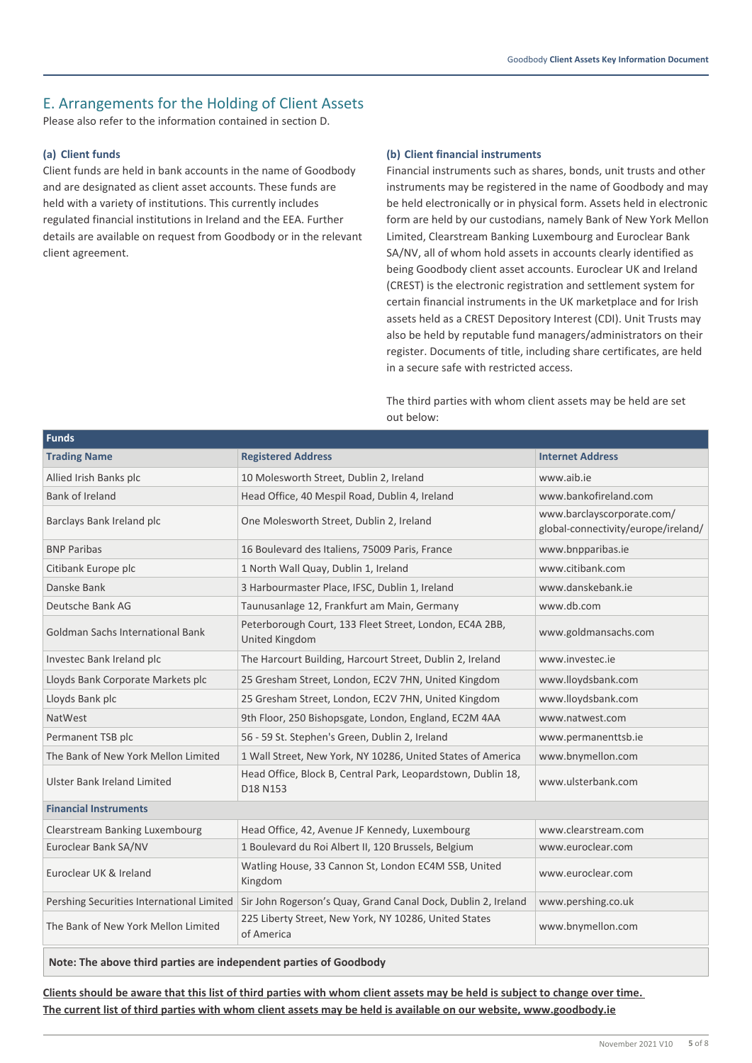# E. Arrangements for the Holding of Client Assets

Please also refer to the information contained in section D.

### **(a) Client funds**

Client funds are held in bank accounts in the name of Goodbody and are designated as client asset accounts. These funds are held with a variety of institutions. This currently includes regulated financial institutions in Ireland and the EEA. Further details are available on request from Goodbody or in the relevant client agreement.

#### **(b) Client financial instruments**

Financial instruments such as shares, bonds, unit trusts and other instruments may be registered in the name of Goodbody and may be held electronically or in physical form. Assets held in electronic form are held by our custodians, namely Bank of New York Mellon Limited, Clearstream Banking Luxembourg and Euroclear Bank SA/NV, all of whom hold assets in accounts clearly identified as being Goodbody client asset accounts. Euroclear UK and Ireland (CREST) is the electronic registration and settlement system for certain financial instruments in the UK marketplace and for Irish assets held as a CREST Depository Interest (CDI). Unit Trusts may also be held by reputable fund managers/administrators on their register. Documents of title, including share certificates, are held in a secure safe with restricted access.

The third parties with whom client assets may be held are set out below:

| <b>Funds</b>                              |                                                                           |                                                                   |  |  |  |
|-------------------------------------------|---------------------------------------------------------------------------|-------------------------------------------------------------------|--|--|--|
| <b>Trading Name</b>                       | <b>Registered Address</b>                                                 | <b>Internet Address</b>                                           |  |  |  |
| Allied Irish Banks plc                    | 10 Molesworth Street, Dublin 2, Ireland                                   | www.aib.ie                                                        |  |  |  |
| <b>Bank of Ireland</b>                    | Head Office, 40 Mespil Road, Dublin 4, Ireland                            | www.bankofireland.com                                             |  |  |  |
| Barclays Bank Ireland plc                 | One Molesworth Street, Dublin 2, Ireland                                  | www.barclayscorporate.com/<br>global-connectivity/europe/ireland/ |  |  |  |
| <b>BNP Paribas</b>                        | 16 Boulevard des Italiens, 75009 Paris, France                            | www.bnpparibas.ie                                                 |  |  |  |
| Citibank Europe plc                       | 1 North Wall Quay, Dublin 1, Ireland                                      | www.citibank.com                                                  |  |  |  |
| Danske Bank                               | 3 Harbourmaster Place, IFSC, Dublin 1, Ireland                            | www.danskebank.ie                                                 |  |  |  |
| Deutsche Bank AG                          | Taunusanlage 12, Frankfurt am Main, Germany                               | www.db.com                                                        |  |  |  |
| <b>Goldman Sachs International Bank</b>   | Peterborough Court, 133 Fleet Street, London, EC4A 2BB,<br>United Kingdom | www.goldmansachs.com                                              |  |  |  |
| Investec Bank Ireland plc                 | The Harcourt Building, Harcourt Street, Dublin 2, Ireland                 | www.investec.ie                                                   |  |  |  |
| Lloyds Bank Corporate Markets plc         | 25 Gresham Street, London, EC2V 7HN, United Kingdom                       | www.lloydsbank.com                                                |  |  |  |
| Lloyds Bank plc                           | 25 Gresham Street, London, EC2V 7HN, United Kingdom                       | www.lloydsbank.com                                                |  |  |  |
| <b>NatWest</b>                            | 9th Floor, 250 Bishopsgate, London, England, EC2M 4AA                     | www.natwest.com                                                   |  |  |  |
| Permanent TSB plc                         | 56 - 59 St. Stephen's Green, Dublin 2, Ireland                            | www.permanenttsb.ie                                               |  |  |  |
| The Bank of New York Mellon Limited       | 1 Wall Street, New York, NY 10286, United States of America               | www.bnymellon.com                                                 |  |  |  |
| <b>Ulster Bank Ireland Limited</b>        | Head Office, Block B, Central Park, Leopardstown, Dublin 18,<br>D18 N153  | www.ulsterbank.com                                                |  |  |  |
| <b>Financial Instruments</b>              |                                                                           |                                                                   |  |  |  |
| Clearstream Banking Luxembourg            | Head Office, 42, Avenue JF Kennedy, Luxembourg                            | www.clearstream.com                                               |  |  |  |
| Euroclear Bank SA/NV                      | 1 Boulevard du Roi Albert II, 120 Brussels, Belgium                       | www.euroclear.com                                                 |  |  |  |
| Euroclear UK & Ireland                    | Watling House, 33 Cannon St, London EC4M 5SB, United<br>Kingdom           | www.euroclear.com                                                 |  |  |  |
| Pershing Securities International Limited | Sir John Rogerson's Quay, Grand Canal Dock, Dublin 2, Ireland             | www.pershing.co.uk                                                |  |  |  |
| The Bank of New York Mellon Limited       | 225 Liberty Street, New York, NY 10286, United States<br>of America       | www.bnymellon.com                                                 |  |  |  |
|                                           |                                                                           |                                                                   |  |  |  |

**Note: The above third parties are independent parties of Goodbody**

**Clients should be aware that this list of third parties with whom client assets may be held is subject to change over time. The current list of third parties with whom client assets may be held is available on our website, www.goodbody.ie**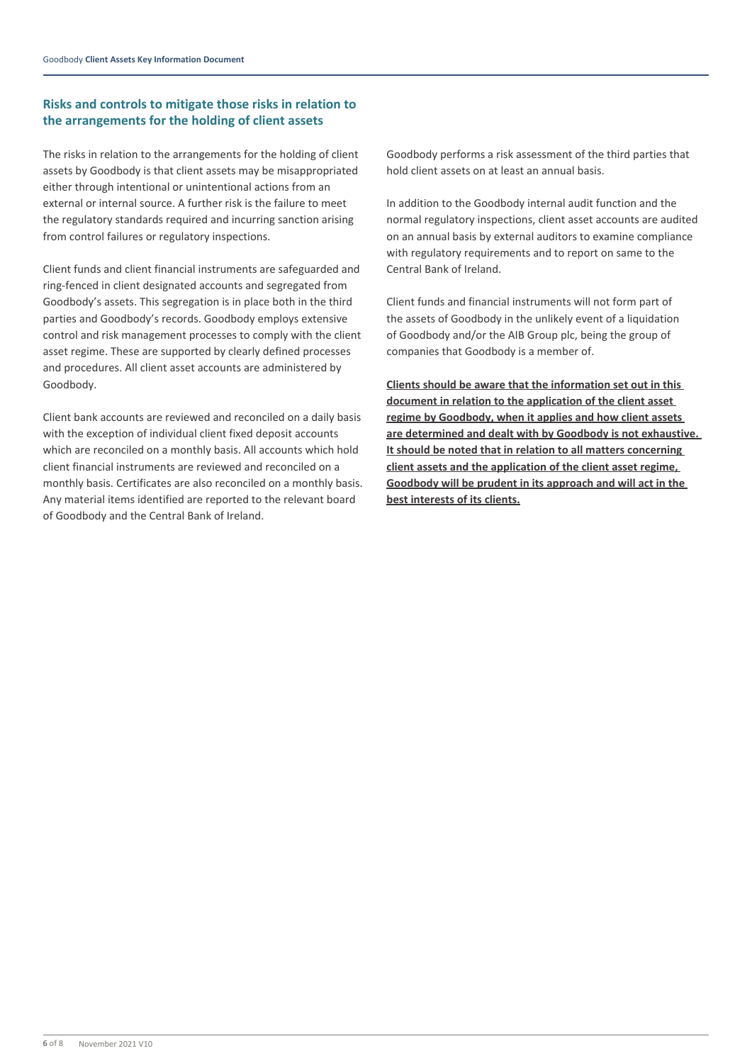### **Risks and controls to mitigate those risks in relation to the arrangements for the holding of client assets**

The risks in relation to the arrangements for the holding of client assets by Goodbody is that client assets may be misappropriated either through intentional or unintentional actions from an external or internal source. A further risk is the failure to meet the regulatory standards required and incurring sanction arising from control failures or regulatory inspections.

Client funds and client financial instruments are safeguarded and ring-fenced in client designated accounts and segregated from Goodbody's assets. This segregation is in place both in the third parties and Goodbody's records. Goodbody employs extensive control and risk management processes to comply with the client asset regime. These are supported by clearly defined processes and procedures. All client asset accounts are administered by Goodbody.

Client bank accounts are reviewed and reconciled on a daily basis with the exception of individual client fixed deposit accounts which are reconciled on a monthly basis. All accounts which hold client financial instruments are reviewed and reconciled on a monthly basis. Certificates are also reconciled on a monthly basis. Any material items identified are reported to the relevant board of Goodbody and the Central Bank of Ireland.

Goodbody performs a risk assessment of the third parties that hold client assets on at least an annual basis.

In addition to the Goodbody internal audit function and the normal regulatory inspections, client asset accounts are audited on an annual basis by external auditors to examine compliance with regulatory requirements and to report on same to the Central Bank of Ireland.

Client funds and financial instruments will not form part of the assets of Goodbody in the unlikely event of a liquidation of Goodbody and/or the AIB Group plc, being the group of companies that Goodbody is a member of.

**Clients should be aware that the information set out in this document in relation to the application of the client asset regime by Goodbody, when it applies and how client assets are determined and dealt with by Goodbody is not exhaustive. It should be noted that in relation to all matters concerning client assets and the application of the client asset regime, Goodbody will be prudent in its approach and will act in the best interests of its clients.**